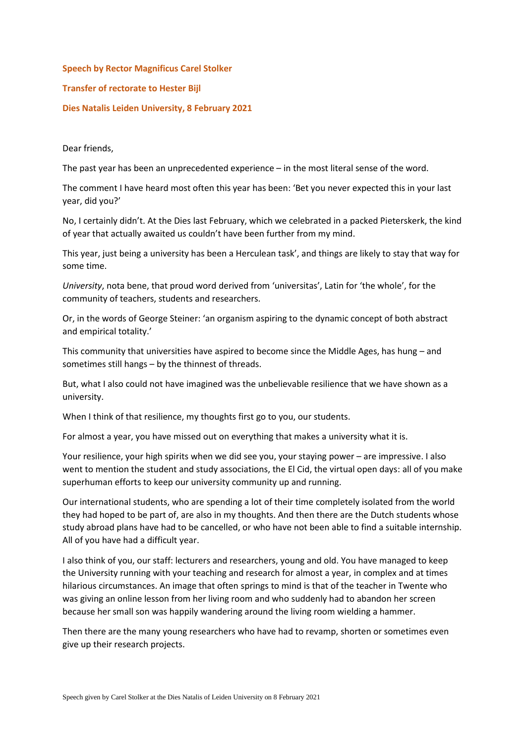## **Speech by Rector Magnificus Carel Stolker Transfer of rectorate to Hester Bijl Dies Natalis Leiden University, 8 February 2021**

Dear friends,

The past year has been an unprecedented experience – in the most literal sense of the word.

The comment I have heard most often this year has been: 'Bet you never expected this in your last year, did you?'

No, I certainly didn't. At the Dies last February, which we celebrated in a packed Pieterskerk, the kind of year that actually awaited us couldn't have been further from my mind.

This year, just being a university has been a Herculean task', and things are likely to stay that way for some time.

*University*, nota bene, that proud word derived from 'universitas', Latin for 'the whole', for the community of teachers, students and researchers.

Or, in the words of George Steiner: 'an organism aspiring to the dynamic concept of both abstract and empirical totality.'

This community that universities have aspired to become since the Middle Ages, has hung – and sometimes still hangs – by the thinnest of threads.

But, what I also could not have imagined was the unbelievable resilience that we have shown as a university.

When I think of that resilience, my thoughts first go to you, our students.

For almost a year, you have missed out on everything that makes a university what it is.

Your resilience, your high spirits when we did see you, your staying power – are impressive. I also went to mention the student and study associations, the El Cid, the virtual open days: all of you make superhuman efforts to keep our university community up and running.

Our international students, who are spending a lot of their time completely isolated from the world they had hoped to be part of, are also in my thoughts. And then there are the Dutch students whose study abroad plans have had to be cancelled, or who have not been able to find a suitable internship. All of you have had a difficult year.

I also think of you, our staff: lecturers and researchers, young and old. You have managed to keep the University running with your teaching and research for almost a year, in complex and at times hilarious circumstances. An image that often springs to mind is that of the teacher in Twente who was giving an online lesson from her living room and who suddenly had to abandon her screen because her small son was happily wandering around the living room wielding a hammer.

Then there are the many young researchers who have had to revamp, shorten or sometimes even give up their research projects.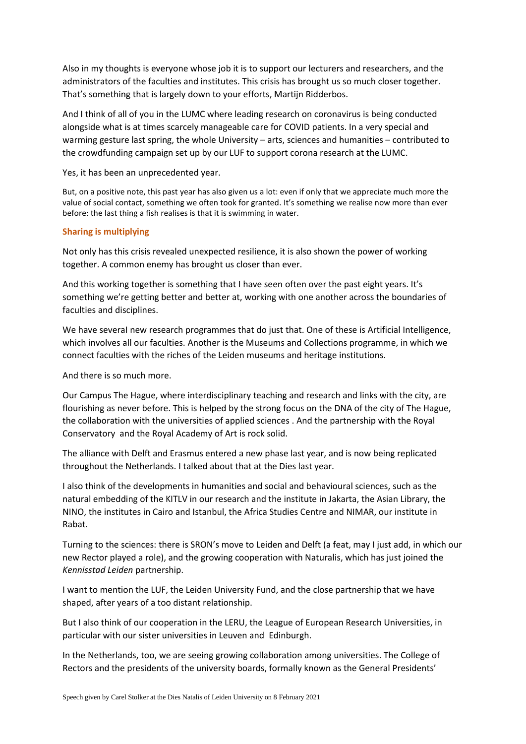Also in my thoughts is everyone whose job it is to support our lecturers and researchers, and the administrators of the faculties and institutes. This crisis has brought us so much closer together. That's something that is largely down to your efforts, Martijn Ridderbos.

And I think of all of you in the LUMC where leading research on coronavirus is being conducted alongside what is at times scarcely manageable care for COVID patients. In a very special and warming gesture last spring, the whole University – arts, sciences and humanities – contributed to the crowdfunding campaign set up by our LUF to support corona research at the LUMC.

Yes, it has been an unprecedented year.

But, on a positive note, this past year has also given us a lot: even if only that we appreciate much more the value of social contact, something we often took for granted. It's something we realise now more than ever before: the last thing a fish realises is that it is swimming in water.

## **Sharing is multiplying**

Not only has this crisis revealed unexpected resilience, it is also shown the power of working together. A common enemy has brought us closer than ever.

And this working together is something that I have seen often over the past eight years. It's something we're getting better and better at, working with one another across the boundaries of faculties and disciplines.

We have several new research programmes that do just that. One of these is Artificial Intelligence, which involves all our faculties. Another is the Museums and Collections programme, in which we connect faculties with the riches of the Leiden museums and heritage institutions.

And there is so much more.

Our Campus The Hague, where interdisciplinary teaching and research and links with the city, are flourishing as never before. This is helped by the strong focus on the DNA of the city of The Hague, the collaboration with the universities of applied sciences . And the partnership with the Royal Conservatory and the Royal Academy of Art is rock solid.

The alliance with Delft and Erasmus entered a new phase last year, and is now being replicated throughout the Netherlands. I talked about that at the Dies last year.

I also think of the developments in humanities and social and behavioural sciences, such as the natural embedding of the KITLV in our research and the institute in Jakarta, the Asian Library, the NINO, the institutes in Cairo and Istanbul, the Africa Studies Centre and NIMAR, our institute in Rabat.

Turning to the sciences: there is SRON's move to Leiden and Delft (a feat, may I just add, in which our new Rector played a role), and the growing cooperation with Naturalis, which has just joined the *Kennisstad Leiden* partnership.

I want to mention the LUF, the Leiden University Fund, and the close partnership that we have shaped, after years of a too distant relationship.

But I also think of our cooperation in the LERU, the League of European Research Universities, in particular with our sister universities in Leuven and Edinburgh.

In the Netherlands, too, we are seeing growing collaboration among universities. The College of Rectors and the presidents of the university boards, formally known as the General Presidents'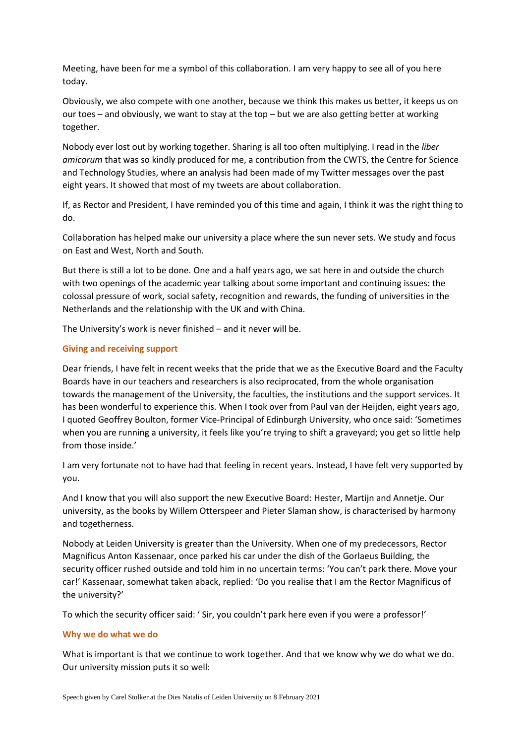Meeting, have been for me a symbol of this collaboration. I am very happy to see all of you here today.

Obviously, we also compete with one another, because we think this makes us better, it keeps us on our toes – and obviously, we want to stay at the top – but we are also getting better at working together.

Nobody ever lost out by working together. Sharing is all too often multiplying. I read in the *liber amicorum* that was so kindly produced for me, a contribution from the CWTS, the Centre for Science and Technology Studies, where an analysis had been made of my Twitter messages over the past eight years. It showed that most of my tweets are about collaboration.

If, as Rector and President, I have reminded you of this time and again, I think it was the right thing to do.

Collaboration has helped make our university a place where the sun never sets. We study and focus on East and West, North and South.

But there is still a lot to be done. One and a half years ago, we sat here in and outside the church with two openings of the academic year talking about some important and continuing issues: the colossal pressure of work, social safety, recognition and rewards, the funding of universities in the Netherlands and the relationship with the UK and with China.

The University's work is never finished – and it never will be.

## **Giving and receiving support**

Dear friends, I have felt in recent weeks that the pride that we as the Executive Board and the Faculty Boards have in our teachers and researchers is also reciprocated, from the whole organisation towards the management of the University, the faculties, the institutions and the support services. It has been wonderful to experience this. When I took over from Paul van der Heijden, eight years ago, I quoted Geoffrey Boulton, former Vice-Principal of Edinburgh University, who once said: 'Sometimes when you are running a university, it feels like you're trying to shift a graveyard; you get so little help from those inside.'

I am very fortunate not to have had that feeling in recent years. Instead, I have felt very supported by you.

And I know that you will also support the new Executive Board: Hester, Martijn and Annetje. Our university, as the books by Willem Otterspeer and Pieter Slaman show, is characterised by harmony and togetherness.

Nobody at Leiden University is greater than the University. When one of my predecessors, Rector Magnificus Anton Kassenaar, once parked his car under the dish of the Gorlaeus Building, the security officer rushed outside and told him in no uncertain terms: 'You can't park there. Move your car!' Kassenaar, somewhat taken aback, replied: 'Do you realise that I am the Rector Magnificus of the university?'

To which the security officer said: ' Sir, you couldn't park here even if you were a professor!'

## **Why we do what we do**

What is important is that we continue to work together. And that we know why we do what we do. Our university mission puts it so well: